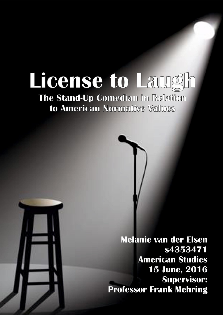# License to Laugh

## The Stand-Up Comedian in Relation to American Normative Values

**Melanie van der Elsen** s4353471 **American Studies** 15 June, 2016 **Supervisor: Professor Frank Mehring**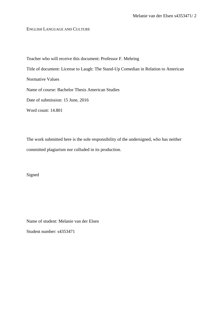ENGLISH LANGUAGE AND CULTURE

Teacher who will receive this document: Professor F. Mehring Title of document: License to Laugh: The Stand-Up Comedian in Relation to American Normative Values Name of course: Bachelor Thesis American Studies Date of submission: 15 June, 2016 Word count: 14.801

The work submitted here is the sole responsibility of the undersigned, who has neither committed plagiarism nor colluded in its production.

Signed

Name of student: Melanie van der Elsen Student number: s4353471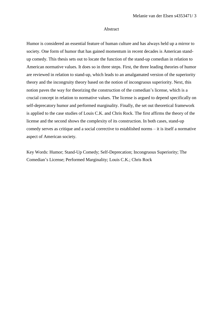#### Abstract

Humor is considered an essential feature of human culture and has always held up a mirror to society. One form of humor that has gained momentum in recent decades is American standup comedy. This thesis sets out to locate the function of the stand-up comedian in relation to American normative values. It does so in three steps. First, the three leading theories of humor are reviewed in relation to stand-up, which leads to an amalgamated version of the superiority theory and the incongruity theory based on the notion of incongruous superiority. Next, this notion paves the way for theorizing the construction of the comedian's license, which is a crucial concept in relation to normative values. The license is argued to depend specifically on self-deprecatory humor and performed marginality. Finally, the set out theoretical framework is applied to the case studies of Louis C.K. and Chris Rock. The first affirms the theory of the license and the second shows the complexity of its construction. In both cases, stand-up comedy serves as critique and a social corrective to established norms – it is itself a normative aspect of American society.

Key Words: Humor; Stand-Up Comedy; Self-Deprecation; Incongruous Superiority; The Comedian's License; Performed Marginality; Louis C.K.; Chris Rock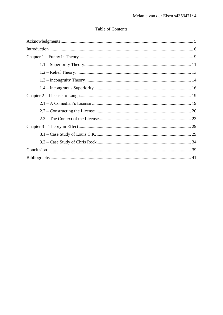### **Table of Contents**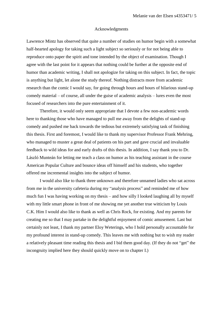#### Acknowledgments

Lawrence Mintz has observed that quite a number of studies on humor begin with a somewhat half-hearted apology for taking such a light subject so seriously or for not being able to reproduce onto paper the spirit and tone intended by the object of examination. Though I agree with the last point for it appears that nothing could be further at the opposite end of humor than academic writing, I shall not apologize for taking on this subject. In fact, the topic is anything but light, let alone the study thereof. Nothing distracts more from academic research than the comic I would say, for going through hours and hours of hilarious stand-up comedy material – of course, all under the guise of academic analysis – lures even the most focused of researchers into the pure entertainment of it.

Therefore, it would only seem appropriate that I devote a few non-academic words here to thanking those who have managed to pull me away from the delights of stand-up comedy and pushed me back towards the tedious but extremely satisfying task of finishing this thesis. First and foremost, I would like to thank my supervisor Professor Frank Mehring, who managed to muster a great deal of patients on his part and gave crucial and invaluable feedback to wild ideas for and early drafts of this thesis. In addition, I say thank you to Dr. László Munteán for letting me teach a class on humor as his teaching assistant in the course American Popular Culture and bounce ideas off himself and his students, who together offered me incremental insights into the subject of humor.

I would also like to thank three unknown and therefore unnamed ladies who sat across from me in the university cafeteria during my "analysis process" and reminded me of how much fun I was having working on my thesis – and how silly I looked laughing all by myself with my little smart phone in front of me showing me yet another true witticism by Louis C.K. Him I would also like to thank as well as Chris Rock, for existing. And my parents for creating me so that I may partake in the delightful enjoyment of comic amusement. Last but certainly not least, I thank my partner Eloy Weterings, who I hold personally accountable for my profound interest in stand-up comedy. This leaves me with nothing but to wish my reader a relatively pleasant time reading this thesis and I bid them good day. (If they do not "get" the incongruity implied here they should quickly move on to chapter I.)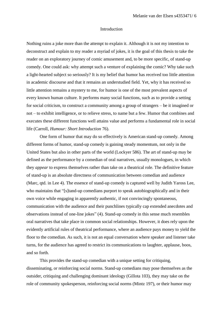#### Introduction

Nothing ruins a joke more than the attempt to explain it. Although it is not my intention to deconstruct and explain to my reader a myriad of jokes, it is the goal of this thesis to take the reader on an exploratory journey of comic amusement and, to be more specific, of stand-up comedy. One could ask: why attempt such a venture of explaining the comic? Why take such a light-hearted subject so seriously? It is my belief that humor has received too little attention in academic discourse and that it remains an understudied field. Yet, why it has received so little attention remains a mystery to me, for humor is one of the most prevalent aspects of every known human culture. It performs many social functions, such as to provide a setting for social criticism, to construct a community among a group of strangers – be it imagined or not – to exhibit intelligence, or to relieve stress, to name but a few. Humor that combines and executes these different functions well attains value and performs a fundamental role in social life (Carroll, *Humour: Short Introduction* 76).

One form of humor that may do so effectively is American stand-up comedy. Among different forms of humor, stand-up comedy is gaining steady momentum, not only in the United States but also in other parts of the world (Lockyer 586). The art of stand-up may be defined as the performance by a comedian of oral narratives, usually monologues, in which they *appear* to express themselves rather than take on a theatrical role. The definitive feature of stand-up is an absolute directness of communication between comedian and audience (Marc, qtd. in Lee 4). The essence of stand-up comedy is captured well by Judith Yaross Lee, who maintains that "[s]tand-up comedians purport to speak autobiographically and in their own voice while engaging in apparently authentic, if not convincingly spontaneous, communication with the audience and their punchlines typically cap extended anecdotes and observations instead of one-line jokes" (4). Stand-up comedy in this sense much resembles oral narratives that take place in common social relationships. However, it does rely upon the evidently artificial rules of theatrical performance, where an audience pays money to yield the floor to the comedian. As such, it is not an equal conversation where speaker and listener take turns, for the audience has agreed to restrict its communications to laughter, applause, boos, and so forth.

This provides the stand-up comedian with a unique setting for critiquing, disseminating, or reinforcing social norms. Stand-up comedians may pose themselves as the outsider, critiquing and challenging dominant ideology (Gillota 103), they may take on the role of community spokesperson, reinforcing social norms (Mintz 197), or their humor may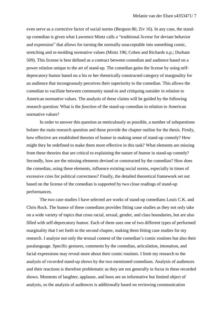even serve as a corrective factor of social norms (Bergson 86; Ziv 16). In any case, the standup comedian is given what Lawrence Mintz calls a "traditional *license* for deviate behavior and expression" that allows for turning the normally unacceptable into something comic, stretching and re-molding normative values (Mintz 196; Cohen and Richards n.p.; Durham 509). This license is best defined as a contract between comedian and audience based on a power relation unique to the art of stand-up. The comedian gains the license by using selfdeprecatory humor based on a his or her rhetorically constructed category of marginality for an audience that incongruously perceives their superiority to the comedian. This allows the comedian to vacillate between community stand-in and critiquing outsider in relation to American normative values. The analysis of these claims will be guided by the following research question: What is the *function* of the stand-up comedian in relation to American normative values?

In order to answer this question as meticulously as possible, a number of subquestions bolster the main research question and these provide the chapter outline for the thesis. Firstly, how effective are established theories of humor in making sense of stand-up comedy? How might they be redefined to make them more effective in this task? What elements are missing from these theories that are critical to explaining the nature of humor in stand-up comedy? Secondly, how are the missing elements devised or constructed by the comedian? How does the comedian, using these elements, influence existing social norms, especially in times of excessive cries for political correctness? Finally, the detailed theoretical framework set out based on the license of the comedian is supported by two close readings of stand-up performances.

The two case studies I have selected are works of stand-up comedians Louis C.K. and Chris Rock. The humor of these comedians provides fitting case studies as they not only take on a wide variety of topics that cross racial, sexual, gender, and class boundaries, but are also filled with self-deprecatory humor. Each of them uses one of two different types of performed marginality that I set forth in the second chapter, making them fitting case studies for my research. I analyze not only the textual content of the comedian's comic routines but also their paralanguage. Specific gestures, comments by the comedian, articulation, intonation, and facial expressions may reveal more about their comic routines. I limit my research to the analysis of *recorded* stand-up shows by the two mentioned comedians. Analysis of audiences and their reactions is therefore problematic as they are not generally in focus in these recorded shows. Moments of laughter, applause, and boos are an informative but limited object of analysis, so the analysis of audiences is additionally based on reviewing communication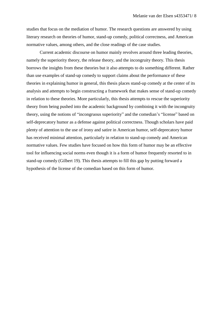studies that focus on the mediation of humor. The research questions are answered by using literary research on theories of humor, stand-up comedy, political correctness, and American normative values, among others, and the close readings of the case studies.

Current academic discourse on humor mainly revolves around three leading theories, namely the superiority theory, the release theory, and the incongruity theory. This thesis borrows the insights from these theories but it also attempts to do something different. Rather than use examples of stand-up comedy to support claims about the performance of these theories in explaining humor in general, this thesis places stand-up comedy at the center of its analysis and attempts to begin constructing a framework that makes sense of stand-up comedy in relation to these theories. More particularly, this thesis attempts to rescue the superiority theory from being pushed into the academic background by combining it with the incongruity theory, using the notions of "incongruous superiority" and the comedian's "license" based on self-deprecatory humor as a defense against political correctness. Though scholars have paid plenty of attention to the use of irony and satire in American humor, self-deprecatory humor has received minimal attention, particularly in relation to stand-up comedy and American normative values. Few studies have focused on how this form of humor may be an effective tool for influencing social norms even though it is a form of humor frequently resorted to in stand-up comedy (Gilbert 19). This thesis attempts to fill this gap by putting forward a hypothesis of the license of the comedian based on this form of humor.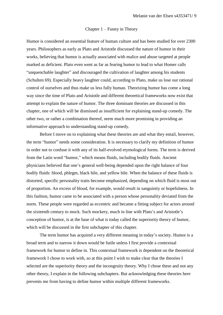#### Chapter 1 – Funny in Theory

Humor is considered an essential feature of human culture and has been studied for over 2300 years. Philosophers as early as Plato and Aristotle discussed the nature of humor in their works, believing that humor is actually associated with malice and abuse targeted at people marked as deficient. Plato even went as far as fearing humor to lead to what Homer calls "unquenchable laughter" and discouraged the cultivation of laughter among his students (Schulten 69). Especially heavy laughter could, according to Plato, make us lose our rational control of ourselves and thus make us less fully human. Theorizing humor has come a long way since the time of Plato and Aristotle and different theoretical frameworks now exist that attempt to explain the nature of humor. The three dominant theories are discussed in this chapter, one of which will be dismissed as insufficient for explaining stand-up comedy. The other two, or rather a combination thereof, seem much more promising in providing an informative approach to understanding stand-up comedy.

Before I move on to explaining what these theories are and what they entail, however, the term "humor" needs some consideration. It is necessary to clarify my definition of humor in order not to confuse it with any of its half-evolved etymological forms. The term is derived from the Latin word "humor," which means fluids, including bodily fluids. Ancient physicians believed that one's general well-being depended upon the right balance of four bodily fluids: blood, phlegm, black bile, and yellow bile. When the balance of these fluids is distorted, specific personality traits become emphasized, depending on which fluid is most out of proportion. An excess of blood, for example, would result in sanguinity or hopefulness. In this fashion, humor came to be associated with a person whose personality deviated from the norm. These people were regarded as eccentric and became a fitting subject for actors around the sixteenth century to mock. Such mockery, much in line with Plato's and Aristotle's conception of humor, is at the base of what is today called the superiority theory of humor, which will be discussed in the first subchapter of this chapter.

The term humor has acquired a very different meaning in today's society. Humor is a broad term and to narrow it down would be futile unless I first provide a contextual framework for humor to define in. This contextual framework is dependent on the theoretical framework I chose to work with, so at this point I wish to make clear that the theories I selected are the superiority theory and the incongruity theory. Why I chose these and not any other theory, I explain in the following subchapters. But acknowledging these theories here prevents me from having to define humor within multiple different frameworks.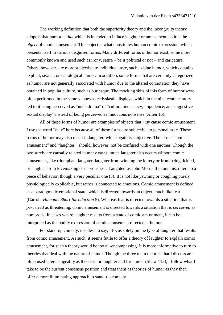The working definition that both the superiority theory and the incongruity theory adopt is that humor is *that* which is intended to induce laughter or amusement, so it is the *object* of comic amusement. This object is what constitutes human comic expression, which presents itself in various disguised forms. Many different forms of humor exist, some more commonly known and used such as irony, satire – be it political or not – and caricature. Others, however, are more subjective to individual taste, such as blue humor, which contains explicit, sexual, or scatological humor. In addition, some forms that are certainly categorized as humor are not generally associated with humor due to the altered connotation they have obtained in popular culture, such as burlesque. The mocking skits of this form of humor were often performed in the same venues as ecdysiastic displays, which in the nineteenth century led to it being perceived as "nude drama" of "cultural indecency, impudence, and suggestive sexual display" instead of being perceived as innocuous nonsense (Allen 16).

All of these forms of humor are examples of objects that *may* cause comic amusement. I use the word "may" here because all of these forms are subjective to personal taste. These forms of humor may also result in laughter, which again is subjective. The terms "comic amusement" and "laughter," should, however, not be confused with one another. Though the two surely are causally related in many cases, much laughter also occurs without comic amusement, like triumphant laughter, laughter from winning the lottery or from being tickled, or laughter from lovemaking or nervousness. Laughter, as John Morreall maintains, refers to a piece of behavior, though a very peculiar one (3). It is not like yawning or coughing purely physiologically explicable, but rather is connected to emotions. Comic amusement is defined as a paradigmatic emotional state, which is directed towards an object, much like fear (Carroll, *Humour: Short Introduction* 5). Whereas fear is directed towards a situation that is *perceived* as threatening, comic amusement is directed towards a situation that is *perceived* as humorous. In cases where laughter results from a state of comic amusement, it can be interpreted as the bodily expression of comic amusement directed at humor.

For stand-up comedy, needless to say, I focus solely on the type of laughter that results from comic amusement. As such, it seems futile to offer a theory of laughter to explain comic amusement, for such a theory would be too all-encompassing. It is more informative to turn to theories that deal with the nature of humor. Though the three main theories that I discuss are often used interchangeably as theories for laughter and for humor (Shaw 113), I follow what I take to be the current consensus position and treat them as theories of humor as they then offer a more illuminating approach to stand-up comedy.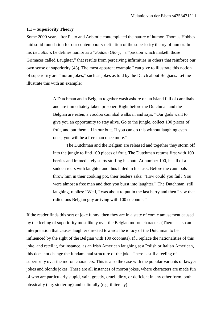#### **1.1 – Superiority Theory**

Some 2000 years after Plato and Aristotle contemplated the nature of humor, Thomas Hobbes laid solid foundation for our contemporary definition of the superiority theory of humor. In his *Leviathan*, he defines humor as a "*Sudden Glory*," a "passion which maketh those Grimaces called Laughter," that results from perceiving infirmities in others that reinforce our own sense of superiority (43). The most apparent example I can give to illustrate this notion of superiority are "moron jokes," such as jokes as told by the Dutch about Belgians. Let me illustrate this with an example:

> A Dutchman and a Belgian together wash ashore on an island full of cannibals and are immediately taken prisoner. Right before the Dutchman and the Belgian are eaten, a voodoo cannibal walks in and says: "Our gods want to give you an opportunity to stay alive. Go to the jungle, collect 100 pieces of fruit, and put them all in our butt. If you can do this without laughing even once, you will be a free man once more."

> The Dutchman and the Belgian are released and together they storm off into the jungle to find 100 pieces of fruit. The Dutchman returns first with 100 berries and immediately starts stuffing his butt. At number 100, he all of a sudden roars with laughter and thus failed in his task. Before the cannibals throw him in their cooking pot, their leaders asks: "How could you fail? You were almost a free man and then you burst into laughter." The Dutchman, still laughing, replies: "Well, I was about to put in the last berry and then I saw that ridiculous Belgian guy arriving with 100 coconuts."

If the reader finds this sort of joke funny, then they are in a state of comic amusement caused by the feeling of superiority most likely over the Belgian moron character. (There is also an interpretation that causes laughter directed towards the idiocy of the Dutchman to be influenced by the sight of the Belgian with 100 coconuts). If I replace the nationalities of this joke, and retell it, for instance, as an Irish American laughing at a Polish or Italian American, this does not change the fundamental structure of the joke. There is still a feeling of superiority over the moron characters. This is also the case with the popular variants of lawyer jokes and blonde jokes. These are all instances of moron jokes, where characters are made fun of who are particularly stupid, vain, greedy, cruel, dirty, or deficient in any other form, both physically (e.g. stuttering) and culturally (e.g. illiteracy).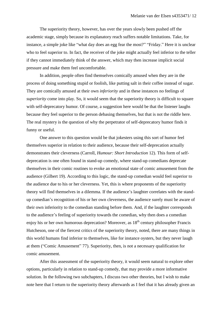The superiority theory, however, has over the years slowly been pushed off the academic stage, simply because its explanatory reach suffers notable limitations. Take, for instance, a simple joke like "what day does an egg fear the most?" "Friday." Here it is unclear who to feel superior to. In fact, the receiver of the joke might actually feel inferior to the teller if they cannot immediately think of the answer, which may then increase implicit social pressure and make them feel uncomfortable.

In addition, people often find themselves comically amused when they are in the process of doing something stupid or foolish, like putting salt in their coffee instead of sugar. They are comically amused at their own *inferiority* and in these instances no feelings of *superiority* come into play. So, it would seem that the superiority theory is difficult to square with self-deprecatory humor. Of course, a suggestion here would be that the listener laughs because they feel superior to the person debasing themselves, but that is not the riddle here. The real mystery is the question of why the perpetrator of self-deprecatory humor finds it funny or useful.

One answer to this question would be that jokesters using this sort of humor feel themselves superior in relation to their audience, because their self-deprecation actually demonstrates their cleverness (Carroll, *Humour: Short Introduction* 12). This form of selfdeprecation is one often found in stand-up comedy, where stand-up comedians deprecate themselves in their comic routines to evoke an emotional state of comic amusement from the audience (Gilbert 19). According to this logic, the stand-up comedian would feel superior to the audience due to his or her cleverness. Yet, this is where proponents of the superiority theory will find themselves in a dilemma. If the audience's laughter correlates with the standup comedian's recognition of his or her own cleverness, the audience surely must be aware of their own inferiority to the comedian standing before them. And, if the laughter corresponds to the audience's feeling of superiority towards the comedian, why then does a comedian enjoy his or her own humorous deprecation? Moreover, as  $18<sup>th</sup>$  century philosopher Francis Hutcheson, one of the fiercest critics of the superiority theory, noted, there are many things in this world humans find inferior to themselves, like for instance oysters, but they never laugh at them ("Comic Amusement" 77). Superiority, then, is not a necessary qualification for comic amusement.

After this assessment of the superiority theory, it would seem natural to explore other options, particularly in relation to stand-up comedy, that may provide a more informative solution. In the following two subchapters, I discuss two other theories, but I wish to make note here that I return to the superiority theory afterwards as I feel that it has already given an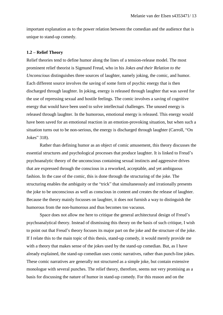important explanation as to the power relation between the comedian and the audience that is unique to stand-up comedy.

#### **1.2 – Relief Theory**

Relief theories tend to define humor along the lines of a tension-release model. The most prominent relief theorist is Sigmund Freud, who in his *Jokes and their Relation to the Unconscious* distinguishes three sources of laughter, namely joking, the comic, and humor. Each different source involves the saving of some form of psychic energy that is then discharged through laughter. In joking, energy is released through laughter that was saved for the use of repressing sexual and hostile feelings. The comic involves a saving of cognitive energy that would have been used to solve intellectual challenges. The unused energy is released through laughter. In the humorous, emotional energy is released. This energy would have been saved for an emotional reaction in an emotion-provoking situation, but when such a situation turns out to be non-serious, the energy is discharged through laughter (Carroll, "On Jokes" 318).

Rather than defining humor as an object of comic amusement, this theory discusses the essential structures and psychological processes that produce laughter. It is linked to Freud's psychoanalytic theory of the unconscious containing sexual instincts and aggressive drives that are expressed through the conscious in a reworked, acceptable, and yet ambiguous fashion. In the case of the comic, this is done through the structuring of the joke. The structuring enables the ambiguity or the "trick" that simultaneously and irrationally presents the joke to be unconscious as well as conscious in content and creates the release of laughter. Because the theory mainly focusses on laughter, it does not furnish a way to distinguish the humorous from the non-humorous and thus becomes too vacuous.

Space does not allow me here to critique the general architectural design of Freud's psychoanalytical theory. Instead of dismissing this theory on the basis of such critique, I wish to point out that Freud's theory focuses its major part on the joke and the structure of the joke. If I relate this to the main topic of this thesis, stand-up comedy, it would merely provide me with a theory that makes sense of the jokes used by the stand-up comedian. But, as I have already explained, the stand-up comedian uses comic narratives, rather than punch-line jokes. These comic narratives are generally not structured as a simple joke, but contain extensive monologue with several punches. The relief theory, therefore, seems not very promising as a basis for discussing the nature of humor in stand-up comedy. For this reason and on the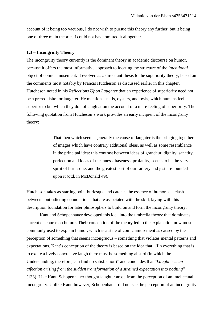account of it being too vacuous, I do not wish to pursue this theory any further, but it being one of three main theories I could not have omitted it altogether.

#### **1.3 – Incongruity Theory**

The incongruity theory currently is the dominant theory in academic discourse on humor, because it offers the most informative approach to locating the structure of the *intentional* object of comic amusement. It evolved as a direct antithesis to the superiority theory, based on the comments most notably by Francis Hutcheson as discussed earlier in this chapter. Hutcheson noted in his *Reflections Upon Laughter* that an experience of superiority need not be a prerequisite for laughter. He mentions snails, oysters, and owls, which humans feel superior to but which they do not laugh at on the account of a mere feeling of superiority. The following quotation from Hutcheson's work provides an early incipient of the incongruity theory:

> That then which seems generally the cause of laughter is the bringing together of images which have contrary additional ideas, as well as some resemblance in the principal idea: this contrast between ideas of grandeur, dignity, sanctity, perfection and ideas of meanness, baseness, profanity, seems to be the very spirit of burlesque; and the greatest part of our raillery and jest are founded upon it (qtd. in McDonald 49).

Hutcheson takes as starting point burlesque and catches the essence of humor as a clash between contradicting connotations that are associated with the skid, laying with this description foundation for later philosophers to build on and form the incongruity theory.

Kant and Schopenhauer developed this idea into the umbrella theory that dominates current discourse on humor. Their conception of the theory led to the explanation now most commonly used to explain humor, which is a state of comic amusement as caused by the perception of something that seems incongruous – something that violates mental patterns and expectations. Kant's conception of the theory is based on the idea that "[i]n everything that is to excite a lively convulsive laugh there must be something absurd (in which the Understanding, therefore, can find no satisfaction)" and concludes that "*Laughter is an affection arising from the sudden transformation of a strained expectation into nothing*" (133). Like Kant, Schopenhauer thought laughter arose from the perception of an intellectual incongruity. Unlike Kant, however, Schopenhauer did not see the perception of an incongruity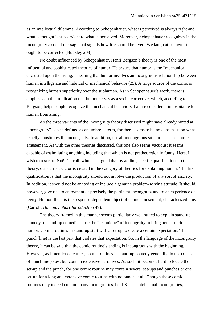as an intellectual dilemma. According to Schopenhauer, what is perceived is always right and what is thought is subservient to what is perceived. Moreover, Schopenhauer recognizes in the incongruity a social message that signals how life should be lived. We laugh at behavior that ought to be corrected (Buckley 203).

No doubt influenced by Schopenhauer, Henri Bergson's theory is one of the most influential and sophisticated theories of humor. He argues that humor is the "mechanical encrusted upon the living," meaning that humor involves an incongruous relationship between human intelligence and habitual or mechanical behavior (25). A large source of the comic is recognizing human superiority over the subhuman. As in Schopenhauer's work, there is emphasis on the implication that humor serves as a social corrective, which, according to Bergson, helps people recognize the mechanical behaviors that are considered inhospitable to human flourishing.

As the three variants of the incongruity theory discussed might have already hinted at, "incongruity" is best defined as an umbrella term, for there seems to be no consensus on what exactly constitutes the incongruity. In addition, not all incongruous situations cause comic amusement. As with the other theories discussed, this one also seems vacuous: it seems capable of assimilating anything including that which is not pretheoretically funny. Here, I wish to resort to Noël Carroll, who has argued that by adding specific qualifications to this theory, our current victor is created in the category of theories for explaining humor. The first qualification is that the incongruity should not involve the production of any sort of anxiety. In addition, it should not be annoying or include a genuine problem-solving attitude. It should, however, give rise to enjoyment of precisely the pertinent incongruity and to an experience of levity. Humor, then, is the response-dependent object of comic amusement, characterized thus (Carroll, *Humour: Short Introduction* 49).

The theory framed in this manner seems particularly well-suited to explain stand-up comedy as stand-up comedians use the "technique" of incongruity to bring across their humor. Comic routines in stand-up start with a set-up to create a certain expectation. The punch(line) is the last part that violates that expectation. So, in the language of the incongruity theory, it can be said that the comic routine's ending is incongruous with the beginning. However, as I mentioned earlier, comic routines in stand-up comedy generally do not consist of punchline jokes, but contain extensive narratives. As such, it becomes hard to locate the set-up and the punch, for one comic routine may contain several set-ups and punches or one set-up for a long and extensive comic routine with no punch at all. Though these comic routines may indeed contain many incongruities, be it Kant's intellectual incongruities,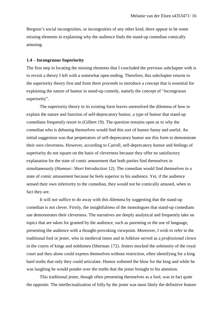Bergson's social incongruities, or incongruities of any other kind, there appear to be some missing elements in explaining why the audience finds the stand-up comedian comically amusing.

#### **1.4 – Incongruous Superiority**

The first step in locating the missing elements that I concluded the previous subchapter with is to revisit a theory I left with a somewhat open ending. Therefore, this subchapter returns to the superiority theory first and from there proceeds to introduce a concept that is essential for explaining the nature of humor in stand-up comedy, namely the concept of "incongruous superiority".

The superiority theory in its existing form leaves unresolved the dilemma of how to explain the nature and function of self-deprecatory humor, a type of humor that stand-up comedians frequently resort to (Gilbert 19). The question remains open as to why the comedian who is debasing themselves would find this sort of humor funny and useful. An initial suggestion was that perpetrators of self-deprecatory humor use this form to demonstrate their own cleverness. However, according to Carroll, self-deprecatory humor and feelings of superiority do not square on the basis of cleverness because they offer no satisfactory explanation for the state of comic amusement that both parties find themselves in simultaneously (*Humour: Short Introduction* 12). The comedian would find themselves in a state of comic amusement because he feels superior to his audience. Yet, if the audience sensed their own inferiority to the comedian, they would not be comically amused, when in fact they are.

It will not suffice to do away with this dilemma by suggesting that the stand-up comedian is not clever. Firstly, the insightfulness of the monologues that stand-up comedians use demonstrates their cleverness. The narratives are deeply analytical and frequently take on topics that are taken for granted by the audience, such as parenting or the use of language, presenting the audience with a thought-provoking viewpoint. Moreover, I wish to refer to the traditional fool or jester, who in medieval times and in folklore served as a *professional* clown in the courts of kings and noblemen (Sherman 172). Jesters mocked the solemnity of the royal court and they alone could express themselves without restriction, often identifying for a king hard truths that only they could articulate. Humor softened the blow for the king and while he was laughing he would ponder over the truths that the jester brought to his attention.

This traditional jester, though often presenting themselves as a fool, was in fact quite the opposite. The intellectualization of folly by the jester was most likely the definitive feature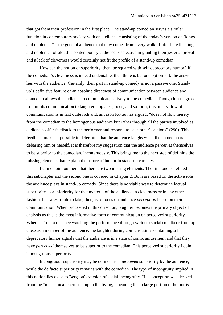that got them their profession in the first place. The stand-up comedian serves a similar function in contemporary society with an audience consisting of the today's version of "kings and noblemen" – the general audience that now comes from every walk of life. Like the kings and noblemen of old, this contemporary audience is selective in granting their jester approval and a lack of cleverness would certainly not fit the profile of a stand-up comedian.

How can the notion of superiority, then, be squared with self-deprecatory humor? If the comedian's cleverness is indeed undeniable, then there is but one option left: the answer lies with the audience. Certainly, their part in stand-up comedy is not a passive one. Standup's definitive feature of an absolute directness of communication between audience and comedian allows the audience to communicate actively to the comedian. Though it has agreed to limit its communication to laughter, applause, boos, and so forth, this binary flow of communication is in fact quite rich and, as Jason Rutter has argued, "does not flow merely from the comedian to the homogenous audience but rather through all the parties involved as audiences offer feedback to the performer and respond to each other's actions" (290). This feedback makes it possible to determine that the audience laughs when the comedian is debasing him or herself. It is therefore my suggestion that the audience *perceives* themselves to be superior to the comedian, incongruously. This brings me to the next step of defining the missing elements that explain the nature of humor in stand-up comedy.

Let me point out here that there are two missing elements. The first one is defined in this subchapter and the second one is covered in Chapter 2. Both are based on the active role the audience plays in stand-up comedy. Since there is no viable way to determine factual superiority – or inferiority for that matter – of the audience in cleverness or in any other fashion, the safest route to take, then, is to focus on audience *perception* based on their communication. When proceeded in this direction, laughter becomes the primary object of analysis as this is the most informative form of communication on perceived superiority. Whether from a distance watching the performance through various (social) media or from up close as a member of the audience, the laughter during comic routines containing selfdeprecatory humor signals that the audience is in a state of comic amusement and that they have *perceived* themselves to be superior to the comedian. This perceived superiority I coin "incongruous superiority."

Incongruous superiority may be defined as a *perceived* superiority by the audience, while the de facto superiority remains with the comedian. The type of incongruity implied in this notion lies close to Bergson's version of social incongruity. His conception was derived from the "mechanical encrusted upon the living," meaning that a large portion of humor is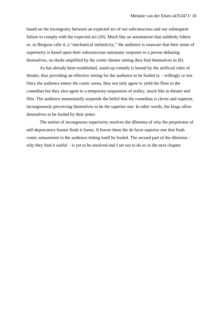based on the incongruity between an expected act of our subconscious and our subsequent failure to comply with the expected act (20). Much like an automatism that suddenly falters or, as Bergson calls it, a "mechanical inelasticity," the audience is unaware that their sense of superiority is based upon their subconscious automatic response to a person debasing themselves, no doubt amplified by the comic theater setting they find themselves in (8).

As has already been established, stand-up comedy is bound by the artificial rules of theater, thus providing an effective setting for the audience to be fooled in – willingly or not. Once the audience enters the comic arena, they not only agree to yield the floor to the comedian but they also agree to a temporary suspension of reality, much like in theater and film. The audience momentarily suspends the belief that the comedian is clever and superior, incongruously perceiving themselves to be the superior one. In other words, the kings *allow* themselves to be fooled by their jester.

The notion of incongruous superiority resolves the dilemma of why the perpetrator of self-deprecatory humor finds it funny. It leaves them the de facto superior one that finds comic amusement in the audience letting itself be fooled. The second part of the dilemma – why they find it useful – is yet to be resolved and I set out to do so in the next chapter.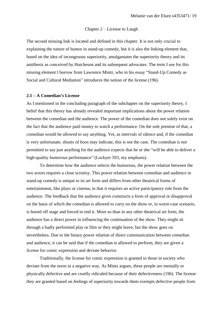#### Chapter 2 – License to Laugh

The second missing link is located and defined in this chapter. It is not only crucial to explaining the nature of humor in stand-up comedy, but it is also the linking element that, based on the idea of incongruous superiority, amalgamates the superiority theory and its antithesis as conceived by Hutcheson and its subsequent advocates. The term I use for this missing element I borrow from Lawrence Mintz, who in his essay "Stand-Up Comedy as Social and Cultural Mediation" introduces the notion of the license (196).

#### **2.1 – A Comedian's License**

As I mentioned in the concluding paragraph of the subchapter on the superiority theory, I belief that this theory has already revealed important implications about the power relation between the comedian and the audience. The power of the comedian does not solely exist on the fact that the audience paid money to watch a performance. On the sole premise of that, a comedian would be allowed to say anything. Yet, as intervals of silence and, if the comedian is very unfortunate, shouts of boos may indicate, this is not the case. The comedian is not permitted to say just anything for the audience expects that he or she "will be able to deliver a high-quality *humorous* performance" (Lockyer 593, my emphasis).

To determine how the audience selects the humorous, the power relation between the two actors requires a close scrutiny. This power relation between comedian and audience in stand-up comedy is unique to its art form and differs from other theatrical forms of entertainment, like plays or cinema, in that it requires an active participatory role from the audience. The feedback that the audience gives constructs a form of approval or disapproval on the basis of which the comedian is allowed to carry on the show or, in worst-case scenario, is booed off stage and forced to end it. More so than in any other theatrical art form, the audience has a direct power in influencing the continuation of the show. They might sit through a badly performed play or film or they might leave, but the show goes on nevertheless. Due to the binary power relation of direct communication between comedian and audience, it can be said that if the comedian is allowed to perform, they are given a *license* for comic expression and deviate behavior.

Traditionally, the license for comic expression is granted to those in society who deviate from the norm in a negative way. As Mintz argues, these people are mentally or physically defective and are cruelly ridiculed because of their defectiveness (196). The license they are granted based on feelings of superiority towards them exempts defective people from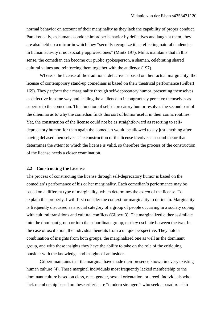normal behavior on account of their marginality as they lack the capability of proper conduct. Paradoxically, as humans condone improper behavior by defectives and laugh at them, they are also held up a mirror in which they "secretly recognize it as reflecting natural tendencies in human activity if not socially approved ones" (Mintz 197). Mintz maintains that in this sense, the comedian can become our public spokesperson, a shaman, celebrating shared cultural values and reinforcing them together with the audience (197).

Whereas the license of the traditional defective is based on their actual marginality, the license of contemporary stand-up comedians is based on their theatrical performance (Gilbert 169). They *perform* their marginality through self-deprecatory humor, presenting themselves as defective in some way and leading the audience to incongruously perceive themselves as superior to the comedian. This function of self-deprecatory humor resolves the second part of the dilemma as to why the comedian finds this sort of humor useful in their comic routines. Yet, the construction of the license could not be as straightforward as resorting to selfdeprecatory humor, for then again the comedian would be allowed to say just anything after having debased themselves. The construction of the license involves a second factor that determines the *extent* to which the license is valid, so therefore the process of the construction of the license needs a closer examination.

#### **2.2 – Constructing the License**

The process of constructing the license through self-deprecatory humor is based on the comedian's performance of his or her marginality. Each comedian's performance may be based on a different type of marginality, which determines the *extent* of the license. To explain this properly, I will first consider the context for marginality to define in. Marginality is frequently discussed as a social category of a group of people occurring in a society coping with cultural transitions and cultural conflicts (Gilbert 3). The marginalized either assimilate into the dominant group or into the subordinate group, or they oscillate between the two. In the case of oscillation, the individual benefits from a unique perspective. They hold a combination of insights from both groups, the marginalized one as well as the dominant group, and with these insights they have the ability to take on the role of the critiquing outsider with the knowledge and insights of an insider.

Gilbert maintains that the marginal have made their presence known in every existing human culture (4). These marginal individuals most frequently lacked membership to the dominant culture based on class, race, gender, sexual orientation, or creed. Individuals who lack membership based on these criteria are "modern strangers" who seek a paradox – "to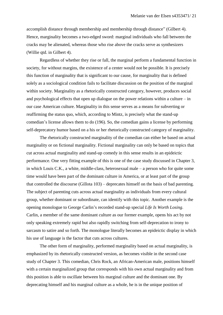accomplish distance through membership and membership through distance" (Gilbert 4). Hence, marginality becomes a two-edged sword: marginal individuals who fall between the cracks may be alienated, whereas those who rise above the cracks serve as synthesizers (Willie qtd. in Gilbert 4).

Regardless of whether they rise or fall, the marginal perform a fundamental function in society, for without margins, the existence of a center would not be possible. It is precisely this function of marginality that is significant to our cause, for marginality that is defined solely as a sociological condition fails to facilitate discussion on the position of the marginal within society. Marginality as a rhetorically constructed category, however, produces social and psychological effects that open up dialogue on the power relations within a culture  $-\text{in}$ our case American culture. Marginality in this sense serves as a means for subverting or reaffirming the status quo, which, according to Mintz, is precisely what the stand-up comedian's license allows them to do (196). So, the comedian gains a license by performing self-deprecatory humor based on a his or her rhetorically constructed category of marginality.

The rhetorically constructed marginality of the comedian can either be based on actual marginality or on fictional marginality. Fictional marginality can only be based on topics that cut across actual marginality and stand-up comedy in this sense results in an epideictic performance. One very fitting example of this is one of the case study discussed in Chapter 3, in which Louis C.K., a white, middle-class, heterosexual male – a person who for quite some time would have been part of the dominant culture in America, or at least part of the group that controlled the discourse (Gillota 103) – deprecates himself on the basis of bad parenting. The subject of parenting cuts across actual marginality as individuals from every cultural group, whether dominant or subordinate, can identify with this topic. Another example is the opening monologue to George Carlin's recorded stand-up special *Life Is Worth Losing*. Carlin, a member of the same dominant culture as our former example, opens his act by not only speaking extremely rapid but also rapidly switching from self-deprecation to irony to sarcasm to satire and so forth. The monologue literally becomes an epideictic display in which his use of language is the factor that cuts across cultures.

The other form of marginality, performed marginality based on actual marginality, is emphasized by its rhetorically constructed version, as becomes visible in the second case study of Chapter 3. This comedian, Chris Rock, an African-American male, positions himself with a certain marginalized group that corresponds with his own actual marginality and from this position is able to oscillate between his marginal culture and the dominant one. By deprecating himself and his marginal culture as a whole, he is in the unique position of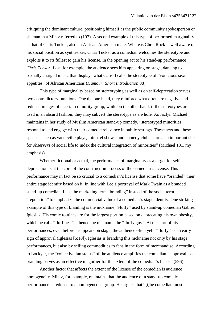critiquing the dominant culture, positioning himself as the public community spokesperson or shaman that Mintz referred to (197). A second example of this type of performed marginality is that of Chris Tucker, also an African-American male. Whereas Chris Rock is well aware of his social position as synthesizer, Chris Tucker as a comedian welcomes the stereotype and exploits it to its fullest to gain his license. In the opening act to his stand-up performance *Chris Tucker: Live*, for example, the audience sees him appearing on stage, dancing to sexually charged music that displays what Carroll calls the stereotype of "voracious sexual appetites" of African Americans (*Humour: Short Introduction* 88).

This type of marginality based on stereotyping as well as on self-deprecation serves two contradictory functions. One the one hand, they reinforce what often are negative and reduced images of a certain minority group, while on the other hand, if the stereotypes are used in an absurd fashion, they may subvert the stereotype as a whole. As Jaclyn Michael maintains in her study of Muslim American stand-up comedy, "stereotyped minorities respond to and engage with their comedic relevance in public settings. These acts and these spaces – such as vaudeville plays, minstrel shows, and comedy clubs – are also important sites for *observers* of social life to index the cultural integration of minorities" (Michael 131, my emphasis).

Whether fictional or actual, the performance of marginality as a target for selfdeprecation is at the core of the construction process of the comedian's license. This performance may in fact be so crucial to a comedian's license that some have "branded" their entire stage identity based on it. In line with Lee's portrayal of Mark Twain as a branded stand-up comedian, I use the marketing term "branding" instead of the social term "reputation" to emphasize the commercial value of a comedian's stage identity. One striking example of this type of branding is the nickname "Fluffy" used by stand-up comedian Gabriel Iglesias. His comic routines are for the largest portion based on deprecating his own obesity, which he calls "fluffiness" – hence the nickname the "fluffy guy." At the start of his performances, even before he appears on stage, the audience often yells "fluffy" as an early sign of approval (Iglesias [6:10]). Iglesias is branding this nickname not only by his stage performances, but also by selling commodities to fans in the form of merchandise. According to Lockyer, the "collective fan status" of the audience amplifies the comedian's approval, so branding serves as an effective magnifier for the extent of the comedian's license (596).

Another factor that affects the extent of the license of the comedian is audience homogeneity. Mintz, for example, maintains that the audience of a stand-up comedy performance is reduced to a homogeneous group. He argues that "[t]he comedian must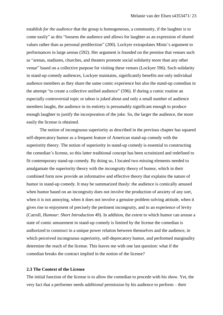establish *for the audience* that the group is homogeneous, a community, if the laughter is to come easily" as this "loosens the audience and allows for laughter as an expression of shared values rather than as personal predilection" (200). Lockyer extrapolates Mintz's argument to performances in large arenas (592). Her argument is founded on the premise that venues such as "arenas, stadiums, churches, and theaters promote social solidarity more than any other venue" based on a collective purpose for visiting these venues (Lockyer 596). Such solidarity in stand-up comedy audiences, Lockyer maintains, significantly benefits not only individual audience members as they share the same comic experience but also the stand-up comedian in the attempt "to create a collective unified audience" (596). If during a comic routine an especially controversial topic or taboo is joked about and only a small number of audience members laughs, the audience in its entirety is presumably significant enough to produce enough laughter to justify the incorporation of the joke. So, the larger the audience, the more easily the license is obtained.

The notion of incongruous superiority as described in the previous chapter has squared self-deprecatory humor as a frequent feature of American stand-up comedy with the superiority theory. The notion of superiority in stand-up comedy is essential to constructing the comedian's license, so this latter traditional concept has been scrutinized and redefined to fit contemporary stand-up comedy. By doing so, I located two missing elements needed to amalgamate the superiority theory with the incongruity theory of humor, which in their combined form now provide an informative and effective theory that explains the nature of humor in stand-up comedy. It may be summarized thusly: the audience is comically amused when humor based on an incongruity does not involve the production of anxiety of any sort, when it is not annoying, when it does not involve a genuine problem solving attitude, when it gives rise to enjoyment of precisely the pertinent incongruity, and to an experience of levity (Carroll, *Humour: Short Introduction* 49). In addition, the *extent* to which humor can arouse a state of comic amusement in stand-up comedy is limited by the license the comedian is authorized to construct in a unique power relation between themselves and the audience, in which perceived incongruous superiority, self-deprecatory humor, and performed marginality determine the reach of the license. This leaves me with one last question: what if the comedian breaks the contract implied in the notion of the license?

#### **2.3 The Context of the License**

The initial function of the license is to allow the comedian to procede with his show. Yet, the very fact that a performer needs *additional* permission by his audience to perform – their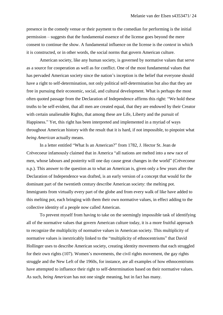presence in the comedy venue or their payment to the comedian for performing is the initial permission – suggests that the fundamental essence of the license goes beyond the mere consent to continue the show. A fundamental influence on the license is the *context* in which it is constructed, or in other words, the social norms that govern American culture.

American society, like any human society, is governed by normative values that serve as a source for cooperation as well as for conflict. One of the most fundamental values that has pervaded American society since the nation's inception is the belief that everyone should have a right to self-determination, not only political self-determination but also that they are free in pursuing their economic, social, and cultural development. What is perhaps the most often quoted passage from the Declaration of Independence affirms this right: "We hold these truths to be self-evident, that all men are created equal, that they are endowed by their Creator with certain unalienable Rights, that among these are Life, Liberty and the pursuit of Happiness." Yet, this right has been interpreted and implemented in a myriad of ways throughout American history with the result that it is hard, if not impossible, to pinpoint what *being American* actually means.

In a letter entitled "What Is an American?" from 1782, J. Hector St. Jean de Crèvecoeur infamously claimed that in America "all nations are melted into a new race of men, whose labours and posterity will one day cause great changes in the world" (Crèvecoeur n.p.). This answer to the question as to what an American is, given only a few years after the Declaration of Independence was drafted, is an early version of a concept that would for the dominant part of the twentieth century describe American society: the melting pot. Immigrants from virtually every part of the globe and from every walk of like have added to this melting pot, each bringing with them their own normative values, in effect adding to the collective identity of a people now called American.

To prevent myself from having to take on the seemingly impossible task of identifying all of the normative values that govern American culture today, it is a more fruitful approach to recognize the multiplicity of normative values in American society. This multiplicity of normative values is inextricably linked to the "multiplicity of ethnocentrisms" that David Hollinger uses to describe American society, creating identity movements that each struggled for their own rights (107). Women's movements, the civil rights movement, the gay rights struggle and the New Left of the 1960s, for instance, are all examples of how ethnocentrisms have attempted to influence their right to self-determination based on their normative values. As such, *being American* has not one single meaning, but in fact has many.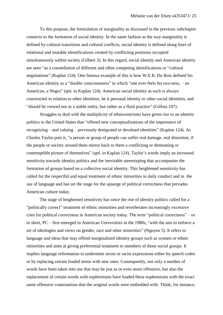To this purpose, the formulation of marginality as discussed in the previous subchapter connects to the formation of social identity. In the same fashion as the way marginality is defined by cultural transitions and cultural conflicts, social identity is defined along lines of relational and mutable identifications created by conflicting positions occupied simultaneously within society (Gilbert 3). In this regard, social identity and American identity are seen "as a constellation of different and often competing identifications or "cultural negotiations" (Kaplan 124). One famous example of this is how W.E.B. Du Bois defined his American identity as a "double consciousness" in which "one ever feels his two-ness, – an American, a Negro" (qtd. in Kaplan 124). American social identity as such is always constructed in relation to other identities, be it personal identity or other social identities, and "should be viewed not as a stable entity, but rather as a fluid practice" (Gillota 107).

Struggles to deal with the multiplicity of ethnocentrisms have given rise to an identity politics in the United States that "offered new conceptualizations of the importance of recognizing – and valuing – previously denigrated or devalued identities" (Kaplan 124). As Charles Taylor puts it, "a person or group of people can suffer real damage, real distortion, if the people or society around them mirror back to them a conflicting or demeaning or contemptible picture of themselves" (qtd. in Kaplan 124). Taylor's words imply an increased sensitivity towards identity politics and the inevitable stereotyping that accompanies the formation of groups based on a collective social identity. This heightened sensitivity has called for the respectful and equal treatment of ethnic minorities in daily conduct and in the use of language and has set the stage for the upsurge of political correctness that pervades American culture today.

The stage of heightened sensitivity has since the rise of identity politics called for a "politically correct" treatment of ethnic minorities and reverberates increasingly excessive cries for political correctness in American society today. The term "political correctness" – or in short, PC – first emerged in American Universities in the 1980s, "with the aim to enforce a set of ideologies and views on gender, race and other minorities" (Nguyen 5). It refers to language and ideas that may offend marginalized identity groups such as women or ethnic minorities and aims at giving preferential treatment to members of those social groups. It implies language reformation to undermine sexist or racist expressions either by speech codes or by replacing certain loaded terms with new ones. Consequently, not only a number of words have been taken into use that may be just as or even more offensive, but also the replacement of certain words with euphemisms have loaded these euphemisms with the exact same offensive connotations that the original words were embedded with. Think, for instance,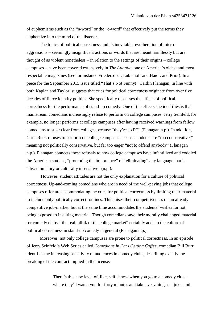of euphemisms such as the "n-word" or the "c-word" that effectively put the terms they euphemize into the mind of the listener.

The topics of political correctness and its inevitable reverberation of microaggressions – seemingly insignificant actions or words that are meant harmlessly but are thought of as violent nonetheless – in relation to the settings of their origins – college campuses – have been covered extensively in *The Atlantic*, one of America's oldest and most respectable magazines (see for instance Friedersdorf; Lukianoff and Haidt; and Prior). In a piece for the September 2015 issue titled "That's Not Funny!" Caitlin Flanagan, in line with both Kaplan and Taylor, suggests that cries for political correctness originate from over five decades of fierce identity politics. She specifically discusses the effects of political correctness for the performance of stand-up comedy. One of the effects she identifies is that mainstream comedians increasingly refuse to perform on college campuses. Jerry Seinfeld, for example, no longer performs at college campuses after having received warnings from fellow comedians to steer clear from colleges because "they're so PC" (Flanagan n.p.). In addition, Chris Rock refuses to perform on college campuses because students are "too conservative," meaning not politically conservative, but far too eager "not to offend anybody" (Flanagan n.p.). Flanagan connects these refusals to how college campuses have infantilized and coddled the American student, "promoting the importance" of "eliminating" any language that is "discriminatory or culturally insensitive" (n.p.).

However, student attitudes are not the only explanation for a culture of political correctness. Up-and-coming comedians who are in need of the well-paying jobs that college campuses offer are accommodating the cries for political correctness by limiting their material to include only politically correct routines. This raises their competitiveness on an already competitive job-market, but at the same time accommodates the students' wishes for not being exposed to insulting material. Though comedians save their morally challenged material for comedy clubs, "the realpolitik of the college market" certainly adds to the culture of political correctness in stand-up comedy in general (Flanagan n.p.).

Moreover, not only college campuses are prone to political correctness. In an episode of Jerry Seinfeld's Web Series called *Comedians in Cars Getting Coffee*, comedian Bill Burr identifies the increasing sensitivity of audiences in comedy clubs, describing exactly the breaking of the contract implied in the license:

> There's this new level of, like, selfishness when you go to a comedy club – where they'll watch you for forty minutes and take everything as a joke, and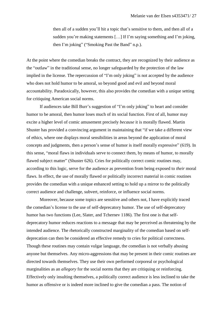then all of a sudden you'll hit a topic that's sensitive to them, and then all of a sudden you're making statements  $[\dots]$  If I'm saying something and I'm joking, then I'm joking" ("Smoking Past the Band" n.p.).

At the point where the comedian breaks the contract, they are recognized by their audience as the "outlaw" in the traditional sense, no longer safeguarded by the protection of the law implied in the license. The repercussion of "I'm only joking" is not accepted by the audience who does not hold humor to be amoral, so beyond good and evil and beyond moral accountability. Paradoxically, however, this also provides the comedian with a unique setting for critiquing American social norms.

If audiences take Bill Burr's suggestion of "I'm only joking" to heart and consider humor to be amoral, then humor loses much of its social function. First of all, humor may excite a higher level of comic amusement precisely *because* it is morally flawed. Martin Shuster has provided a convincing argument in maintaining that "if we take a different view of ethics, where one displays moral sensibilities in areas beyond the application of moral concepts and judgments, then a person's sense of humor is itself morally expressive" (619). In this sense, "moral flaws in individuals serve to connect them, by means of humor, to morally flawed subject matter" (Shuster 626). Cries for politically correct comic routines may, according to this logic, serve for the audience as prevention from being exposed to *their* moral flaws. In effect, the use of morally flawed or politically incorrect material in comic routines provides the comedian with a unique enhanced setting to hold up a mirror to the politically correct audience and challenge, subvert, reinforce, or influence social norms.

Moreover, because some topics are sensitive and others not, I have explicitly traced the comedian's license to the use of self-deprecatory humor. The use of self-deprecatory humor has two functions (Lee, Slater, and Tchernev 1186). The first one is that selfdeprecatory humor reduces reactions to a message that may be perceived as threatening by the intended audience. The rhetorically constructed marginality of the comedian based on selfdeprecation can then be considered an effective remedy to cries for political correctness. Though these routines may contain vulgar language, the comedian is not verbally abusing anyone but themselves. Any micro-aggressions that may be present in their comic routines are directed towards themselves. They use their own performed corporeal or psychological marginalities as an *allegory* for the social norms that they are critiquing or reinforcing. Effectively only insulting themselves, a politically correct audience is less inclined to take the humor as offensive or is indeed more inclined to give the comedian a pass. The notion of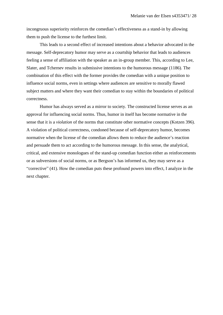incongruous superiority reinforces the comedian's effectiveness as a stand-in by allowing them to push the license to the furthest limit.

This leads to a second effect of increased intentions about a behavior advocated in the message. Self-deprecatory humor may serve as a courtship behavior that leads to audiences feeling a sense of affiliation with the speaker as an in-group member. This, according to Lee, Slater, and Tchernev results in submissive intentions to the humorous message (1186). The combination of this effect with the former provides the comedian with a unique position to influence social norms, even in settings where audiences are sensitive to morally flawed subject matters and where they want their comedian to stay within the boundaries of political correctness.

Humor has always served as a mirror to society. The constructed license serves as an approval for influencing social norms. Thus, humor in itself has become normative in the sense that it is a *violation* of the norms that constitute other normative concepts (Kotzen 396). A violation of political correctness, condoned because of self-deprecatory humor, becomes normative when the license of the comedian allows them to reduce the audience's reaction and persuade them to act according to the humorous message. In this sense, the analytical, critical, and extensive monologues of the stand-up comedian function either as reinforcements or as subversions of social norms, or as Bergson's has informed us, they may serve as a "corrective" (41). How the comedian puts these profound powers into effect, I analyze in the next chapter.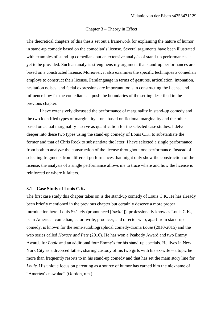#### Chapter 3 – Theory in Effect

The theoretical chapters of this thesis set out a framework for explaining the nature of humor in stand-up comedy based on the comedian's license. Several arguments have been illustrated with examples of stand-up comedians but an extensive analysis of stand-up performances is yet to be provided. Such an analysis strengthens my argument that stand-up performances are based on a constructed license. Moreover, it also examines the specific techniques a comedian employs to construct their license. Paralanguage in terms of gestures, articulation, intonation, hesitation noises, and facial expressions are important tools in constructing the license and influence how far the comedian can push the boundaries of the setting described in the previous chapter.

I have extensively discussed the performance of marginality in stand-up comedy and the two identified types of marginality – one based on fictional marginality and the other based on actual marginality – serve as qualification for the selected case studies. I delve deeper into these two types using the stand-up comedy of Louis C.K. to substantiate the former and that of Chris Rock to substantiate the latter. I have selected a single performance from both to analyze the construction of the license throughout one performance. Instead of selecting fragments from different performances that might only show the construction of the license, the analysis of a single performance allows me to trace where and how the license is reinforced or where it falters.

#### **3.1 – Case Study of Louis C.K.**

The first case study this chapter takes on is the stand-up comedy of Louis C.K. He has already been briefly mentioned in the previous chapter but certainly deserve a more proper introduction here. Louis Székely (pronounced [\[ˈseːkɛj\]\)](https://en.wikipedia.org/wiki/Help:IPA_for_Hungarian), professionally know as Louis C.K., is an American comedian, actor, write, producer, and director who, apart from stand-up comedy, is known for the semi-autobiographical comedy-drama *Louie* (2010-2015) and the web series called *Horace and Pete* (2016). He has won a Peabody Award and two Emmy Awards for *Louie* and an additional four Emmy's for his stand-up specials. He lives in New York City as a divorced father, sharing custody of his two girls with his ex-wife – a topic he more than frequently resorts to in his stand-up comedy and that has set the main story line for *Louie*. His unique focus on parenting as a source of humor has earned him the nickname of "America's new dad" (Gordon, n.p.).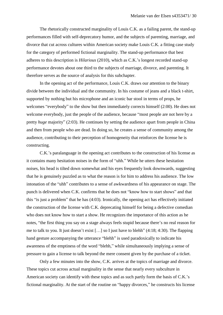The rhetorically constructed marginality of Louis C.K. as a failing parent, the stand-up performances filled with self-deprecatory humor, and the subjects of parenting, marriage, and divorce that cut across cultures within American society make Louis C.K. a fitting case study for the category of performed fictional marginality. The stand-up performance that best adheres to this description is *Hilarious* (2010), which as C.K.'s longest recorded stand-up performance devotes about one third to the subjects of marriage, divorce, and parenting. It therefore serves as the source of analysis for this subchapter.

In the opening act of the performance, Louis C.K. draws our attention to the binary divide between the individual and the community. In his costume of jeans and a black t-shirt, supported by nothing but his microphone and an iconic bar stool in terms of props, he welcomes "everybody" to the show but then immediately corrects himself (2:00). He does not welcome everybody, just the people of the audience, because "most people are not here by a pretty *huge* majority" (2:03). He continues by setting the audience apart from people in China and then from people who are dead. In doing so, he creates a sense of community among the audience, contributing to their perception of homogeneity that reinforces the license he is constructing.

C.K.'s paralanguage in the opening act contributes to the construction of his license as it contains many hesitation noises in the form of "uhh." While he utters these hesitation noises, his head is tilted down somewhat and his eyes frequently look downwards, suggesting that he is genuinely puzzled as to what the reason is for him to address his audience. The low intonation of the "uhh" contributes to a sense of awkwardness of his appearance on stage. The punch is delivered when C.K. confirms that he does not "know how to start shows" and that this "is just a problem" that he has (4:03). Ironically, the opening act has effectively initiated the construction of the license with C.K. deprecating himself for being a defective comedian who does not know how to start a show. He recognizes the importance of this action as he notes, "the first thing you say on a stage always feels stupid because there's no real reason for me to talk to you. It just doesn't exist […] so I just have to blehh" (4:18; 4:30). The flapping hand gesture accompanying the utterance "blehh" is used paradoxically to indicate his awareness of the emptiness of the word "blehh," while simultaneously implying a sense of pressure to gain a license to talk beyond the mere consent given by the purchase of a ticket.

Only a few minutes into the show, C.K. arrives at the topics of marriage and divorce. These topics cut across actual marginality in the sense that nearly every subculture in American society can identify with these topics and as such partly form the basis of C.K.'s fictional marginality. At the start of the routine on "happy divorces," he constructs his license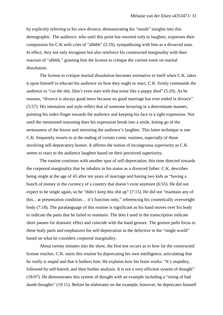by explicitly referring to his own divorce, demonstrating his "inside" insights into this demographic. The audience, who until this point has resorted only to laughter, expresses their compassion for C.K with cries of "ahhhh" (5:19), sympathizing with him as a divorced man. In effect, they not only recognize but also reinforce his constructed marginality with their reaction of "ahhhh," granting him the license to critique the current norm on marital dissolution.

The license to critique marital dissolution becomes normative in itself when C.K. takes it upon himself to educate his audience on how they ought to react. C.K. firmly commands the audience to "cut the shit. Don't even start with that noise like a puppy died" (5:20). As he reasons, "divorce is always good news because no good marriage has ever ended in divorce" (5:57). His intonation and style reflect that of someone lecturing in a determinate manner, pointing his index finger towards the audience and keeping his face in a tight expression. Not until the mentioned reasoning does his expression break into a smile, letting go of the seriousness of the lesson and mirroring the audience's laughter. This latter technique is one C.K. frequently resorts to at the ending of certain comic routines, especially of those involving self-deprecatory humor. It affirms the notion of incongruous superiority as C.K. seems to react to the audience laughter based on their perceived superiority.

The routine continues with another spur of self-deprecation, this time directed towards the corporeal marginality that he inhabits in his status as a divorced father. C.K. describes being single at the age of 41 after ten years of marriage and having two kids as "having a bunch of money in the currency of a country that doesn't exist anymore (6:55). He did not expect to be single again, so he "didn't keep this shit up" (7:15). He did not "maintain any of this... at presentation condition… it's function only," referencing his cosmetically overweight body (7:18). The paralanguage of this routine is significant as his hand moves over his body to indicate the parts that he failed to maintain. The dots I used in the transcription indicate short pauses for dramatic effect and coincide with the hand gesture. The gesture pulls focus to these body parts and emphasizes his self-deprecation as the defective in the "single world" based on what he considers corporeal marginality.

About twenty minutes into the show, the first test occurs as to how far the constructed license reaches. C.K. starts this routine by deprecating his own intelligence, articulating that he *really* is stupid and that it bothers him. He explains how his brain works: "It's stupidity, followed by self-hatred, and then further analysis. It is not a very efficient system of thought" (18:07). He demonstrates this system of thought with an example including a "string of bad dumb thoughts" (19:11). Before he elaborates on the example, however, he deprecates himself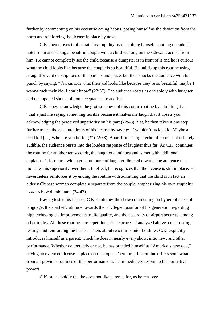further by commenting on his eccentric eating habits, posing himself as the deviation from the norm and reinforcing the license in place by now.

C.K. then moves to illustrate his stupidity by describing himself standing outside his hotel room and seeing a beautiful couple with a child walking on the sidewalk across from him. He cannot completely see the child because a dumpster is in front of it and he is curious what the child looks like because the couple is so beautiful. He builds up this routine using straightforward descriptions of the parents and place, but then shocks the audience with his punch by saying: "I'm curious what their kid looks like because they're so beautiful, maybe I wanna fuck their kid. I don't know" (22:37). The audience reacts as one solely with laughter and no appalled shouts of non-acceptance are audible.

C.K. does acknowledge the grotesqueness of this comic routine by admitting that "that's just me saying something terrible because it makes me laugh that it upsets you," acknowledging the perceived superiority on his part (22:45). Yet, he then takes it one step further to test the absolute limits of his license by saying: "I wouldn't fuck a kid. Maybe a dead kid […] Who are you hurting?" (22:58). Apart from a slight echo of "boo" that is barely audible, the audience bursts into the loudest response of laughter thus far. As C.K. continues the routine for another ten seconds, the laughter continues and is met with additional applause. C.K. retorts with a cruel outburst of laughter directed towards the audience that indicates his superiority over them. In effect, he recognizes that the license is still in place. He nevertheless reinforces it by ending the routine with admitting that the child is in fact an elderly Chinese woman completely separate from the couple, emphasizing his own stupidity: "*That's* how dumb I am" (24:43).

Having tested his license, C.K. continues the show commenting on hyperbolic use of language, the apathetic attitude towards the privileged position of his generation regarding high technological improvements to life quality, and the absurdity of airport security, among other topics. All these routines are repetitions of the process I analyzed above, constructing, testing, and reinforcing the license. Then, about two thirds into the show, C.K. explicitly introduces himself as a parent, which he does in nearly every show, interview, and other performance. Whether deliberately or not, he has branded himself as "America's new dad," having an extended license in place on this topic. Therefore, this routine differs somewhat from all previous routines of this performance as he immediately resorts to his normative powers.

C.K. states boldly that he does not like parents, for, as he reasons: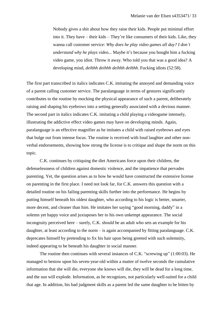Nobody gives a shit about how they raise their kids. People put minimal effort into it. They have – their kids – They're like consumers of their kids. Like, they wanna call customer service: *Why does he play video games all day? I don't understand why he plays video...* Maybe it's because you bought him a fucking video game, you idiot. Throw it away. Who told you that was a good idea? A developing mind, *deihhh deihhh deihhh deihhh*. Fucking idiots (52:58).

The first part transcribed in italics indicates C.K. imitating the annoyed and demanding voice of a parent calling customer service. The paralanguage in terms of gestures significantly contributes to the routine by mocking the physical appearance of such a parent, deliberately raising and shaping his eyebrows into a setting generally associated with a devious manner. The second part in italics indicates C.K. imitating a child playing a videogame intensely, illustrating the addictive effect video games may have on developing minds. Again, paralanguage is an effective magnifier as he imitates a child with raised eyebrows and eyes that bulge out from intense focus. The routine is received with loud laughter and other nonverbal endorsements, showing how strong the license is to critique and shape the norm on this topic.

C.K. continues by critiquing the diet Americans force upon their children, the defenselessness of children against domestic violence, and the impatience that pervades parenting. Yet, the question arises as to how he would have constructed the extensive license on parenting in the first place. I need not look far, for C.K. answers this question with a detailed routine on his failing parenting skills further into the performance. He begins by putting himself beneath his oldest daughter, who according to his logic is better, smarter, more decent, and cleaner than him. He imitates her saying "good morning, daddy" in a solemn yet happy voice and juxtaposes her to his own unkempt appearance. The social incongruity perceived here – surely, C.K. should be an adult who sets an example for his daughter, at least according to the norm – is again accompanied by fitting paralanguage. C.K. deprecates himself by pretending to fix his hair upon being greeted with such solemnity, indeed appearing to be beneath his daughter in social manner.

The routine then continues with several instances of C.K. "screwing up" (1:00:03). He managed to bestow upon his seven-year-old within a matter of twelve seconds the cumulative information that she will die, everyone she knows will die, they will be dead for a long time, and the sun will explode. Information, as he recognizes, not particularly well-suited for a child that age. In addition, his bad judgment skills as a parent led the same daughter to be bitten by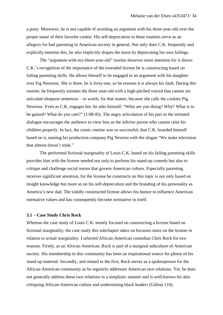a pony. Moreover, he is not capable of avoiding an argument with his three-year-old over the proper name of their favorite cookie. His self-deprecation in these routines serve as an allegory for bad parenting in American society in general. Not only does C.K. frequently and explicitly mention this, he also implicitly shapes the norm by deprecating his own failings.

The "argument-with-my-three-year-old" routine deserves more attention for it shows C.K.'s recognition of the importance of the extended license he is constructing based on failing parenting skills. He allows himself to be engaged in an argument with his daughter over Fig Newtons. She is three, he is forty-one, so he reasons it is always his fault. During this routine, he frequently imitates the three-year-old with a high-pitched voiced that cannot yet articulate eloquent sentences – or words, for that matter, because she calls the cookies Pig Newtons. Even as C.K. engages her, he asks himself: "What are you doing? Why? What is to be gained? What do you care?" (1:08:45). The angry articulation of his part in the imitated dialogue encourages the audience to view him as the inferior parent who cannot raise his children properly. In fact, the comic routine was so successful, that C.K. branded himself based on it, naming his production company Pig Newton with the slogan "We make television that almost doesn't stink."

The performed fictional marginality of Louis C.K. based on his failing parenting skills provides him with the license needed not only to perform his stand-up comedy but also to critique and challenge social norms that govern American culture. Especially parenting receives significant attention, for the license he constructs on this topic is not only based on insight knowledge but more so on his self-deprecation and the branding of his personality as America's new dad. The solidly constructed license allows his humor to influence American normative values and has consequently become normative in itself.

#### **3.1 – Case Study Chris Rock**

Whereas the case study of Louis C.K. mostly focused on constructing a license based on fictional marginality, the case study this subchapter takes on focusses more on the license in relation to actual marginality. I selected African-American comedian Chris Rock for two reasons. Firstly, as an African-American, Rock is part of a marginal subculture of American society. His membership to this community has been an inspirational source for plenty of his stand-up material. Secondly, and related to the first, Rock serves as a spokesperson for the African-American community as he regularly addresses American race relations. Yet, he does not generally address these race relations in a simplistic manner and is well-known for also critiquing African-American culture and undermining black leaders (Gillota 110).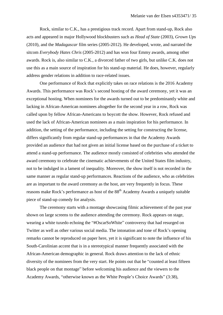Rock, similar to C.K., has a prestigious track record. Apart from stand-up, Rock also acts and appeared in major Hollywood blockbusters such as *Head of State* (2003), *Grown Ups* (2010), and the *Madagascar* film series (2005-2012). He developed, wrote, and narrated the sitcom *Everybody Hates Chris* (2005-2012) and has won four Emmy awards, among other awards. Rock is, also similar to C.K., a divorced father of two girls, but unlike C.K. does not use this as a main source of inspiration for his stand-up material. He does, however, regularly address gender relations in addition to race-related issues.

One performance of Rock that explicitly takes on race relations is the 2016 Academy Awards. This performance was Rock's second hosting of the award ceremony, yet it was an exceptional hosting. When nominees for the awards turned out to be predominantly white and lacking in African-American nominees altogether for the second year in a row, Rock was called upon by fellow African-Americans to boycott the show. However, Rock refused and used the lack of African-American nominees as a main inspiration for his performance. In addition, the setting of the performance, including the setting for constructing the license, differs significantly from regular stand-up performances in that the Academy Awards provided an audience that had not given an initial license based on the purchase of a ticket to attend a stand-up performance. The audience mostly consisted of celebrities who attended the award ceremony to celebrate the cinematic achievements of the United States film industry, not to be indulged in a lament of inequality. Moreover, the show itself is not recorded in the same manner as regular stand-up performances. Reactions of the audience, who as celebrities are as important to the award ceremony as the host, are very frequently in focus. These reasons make Rock's performance as host of the  $88<sup>th</sup>$  Academy Awards a uniquely suitable piece of stand-up comedy for analysis.

The ceremony starts with a montage showcasing filmic achievement of the past year shown on large screens to the audience attending the ceremony. Rock appears on stage, wearing a white tuxedo echoing the "#OscarSoWhite" controversy that had resurged on Twitter as well as other various social media. The intonation and tone of Rock's opening remarks cannot be reproduced on paper here, yet it is significant to note the influence of his South-Carolinian accent that is in a stereotypical manner frequently associated with the African-American demographic in general. Rock draws attention to the lack of ethnic diversity of the nominees from the very start. He points out that he "counted at least fifteen black people on that montage" before welcoming his audience and the viewers to the Academy Awards, "otherwise known as the White People's Choice Awards" (3:38),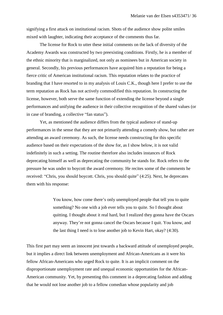signifying a first attack on institutional racism. Shots of the audience show polite smiles mixed with laughter, indicating their acceptance of the comments thus far.

The license for Rock to utter these initial comments on the lack of diversity of the Academy Awards was constructed by two preexisting conditions. Firstly, he is a member of the ethnic minority that is marginalized, not only as nominees but in American society in general. Secondly, his previous performances have acquired him a reputation for being a fierce critic of American institutional racism. This reputation relates to the practice of branding that I have resorted to in my analysis of Louis C.K., though here I prefer to use the term reputation as Rock has not actively commodified this reputation. In constructing the license, however, both serve the same function of extending the license beyond a single performances and unifying the audience in their collective recognition of the shared values (or in case of branding, a collective "fan status").

Yet, as mentioned the audience differs from the typical audience of stand-up performances in the sense that they are not primarily attending a comedy show, but rather are attending an award ceremony. As such, the license needs constructing for this specific audience based on their expectations of the show for, as I show below, it is not valid indefinitely in such a setting. The routine therefore also includes instances of Rock deprecating himself as well as deprecating the community he stands for. Rock refers to the pressure he was under to boycott the award ceremony. He recites some of the comments he received: "Chris, you should boycott. Chris, you should quite" (4:25). Next, he deprecates them with his response:

> You know, how come there's only unemployed people that tell you to quite something? No one with a job ever tells you to quite. So I thought about quitting. I thought about it real hard, but I realized they gonna have the Oscars anyway. They're not gonna cancel the Oscars because I quit. You know, and the last thing I need is to lose another job to Kevin Hart, okay? (4:30).

This first part may seem an innocent jest towards a backward attitude of unemployed people, but it implies a direct link between unemployment and African-Americans as it were his fellow African-Americans who urged Rock to quite. It is an implicit comment on the disproportionate unemployment rate and unequal economic opportunities for the African-American community. Yet, by presenting this comment in a deprecating fashion and adding that he would not lose another job to a fellow comedian whose popularity and job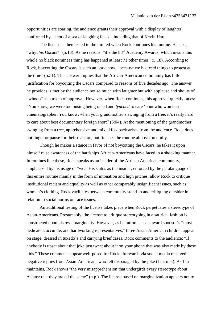opportunities are soaring, the audience grants their approval with a display of laughter, confirmed by a shot of a sea of laughing faces – including that of Kevin Hart.

The license is then tested to the limited when Rock continues his routine. He asks, "why *this* Oscars?" (5:13). As he reasons, "it's the 88<sup>th</sup> Academy Awards, which means this whole no black nominees thing has happened at least 71 other times" (5:18). According to Rock, boycotting the Oscars is such an issue now, "because we had *real* things to protest at the time" (5:51). This answer implies that the African-American community has little justification for boycotting the Oscars compared to reasons of five decades ago. The answer he provides is met by the audience not so much with laughter but with applause and shouts of "whooo" as a token of approval. However, when Rock continues, this approval quickly fades: "You know, we were too busing being raped and *lynched* to care 'bout who won best cinematographer. You know, when your grandmother's swinging from a tree, it's really hard to care about best documentary foreign short" (6:04). At the mentioning of the grandmother swinging from a tree, apprehensive and mixed feedback arises from the audience. Rock does not linger or pause for their reaction, but finishes the routine almost forcefully.

Though he makes a stance in favor of not boycotting the Oscars, he takes it upon himself raise awareness of the hardships African-Americans have faced in a shocking manner. In routines like these, Rock speaks as an insider of the African American community, emphasized by his usage of "we." His status as the insider, enforced by the paralanguage of this entire routine mainly in the form of intonation and high pitches, allow Rock to critique institutional racism and equality as well as other comparably insignificant issues, such as women's clothing. Rock vacillates between community stand-in and critiquing outsider in relation to social norms on race issues.

An additional testing of the license takes place when Rock perpetuates a stereotype of Asian-Americans. Presumably, the license to critique stereotyping in a satirical fashion is constructed upon his own marginality. However, as he introduces an award sponsor's "most dedicated, accurate, and hardworking representatives," three Asian-American children appear on stage, dressed in tuxedo's and carrying brief cases. Rock comments to the audience: "If anybody is upset about that joke just tweet about it on your phone that was also made by these kids." These comments appear well-posed for Rock afterwards via social media received negative replies from Asian-Americans who felt disparaged by the joke (Liu, n.p.). As Liu maintains, Rock shows "the very misapprehension that undergirds every stereotype about Asians: that they are all the same" (n.p.). The license based on marginalization appears not to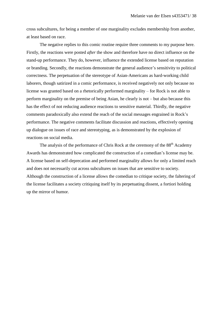cross subcultures, for being a member of one marginality excludes membership from another, at least based on race.

The negative replies to this comic routine require three comments to my purpose here. Firstly, the reactions were posted *after* the show and therefore have no direct influence on the stand-up performance. They do, however, influence the extended license based on reputation or branding. Secondly, the reactions demonstrate the general audience's sensitivity to political correctness. The perpetuation of the stereotype of Asian-Americans as hard-working child laborers, though satirized in a comic performance, is received negatively not only because no license was granted based on a rhetorically performed marginality – for Rock is not able to perform marginality on the premise of being Asian, he clearly is not – but also because this has the effect of not reducing audience reactions to sensitive material. Thirdly, the negative comments paradoxically also extend the reach of the social messages engrained in Rock's performance. The negative comments facilitate discussion and reactions, effectively opening up dialogue on issues of race and stereotyping, as is demonstrated by the explosion of reactions on social media.

The analysis of the performance of Chris Rock at the ceremony of the 88<sup>th</sup> Academy Awards has demonstrated how complicated the construction of a comedian's license may be. A license based on self-deprecation and performed marginality allows for only a limited reach and does not necessarily cut across subcultures on issues that are sensitive to society. Although the construction of a license allows the comedian to critique society, the faltering of the license facilitates a society critiquing itself by its perpetuating dissent, a fortiori holding up the mirror of humor.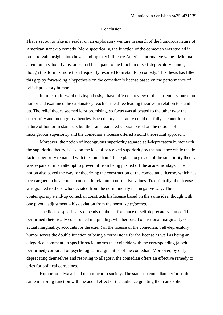#### Conclusion

I have set out to take my reader on an exploratory venture in search of the humorous nature of American stand-up comedy. More specifically, the function of the comedian was studied in order to gain insights into how stand-up may influence American normative values. Minimal attention in scholarly discourse had been paid to the function of self-deprecatory humor, though this form is more than frequently resorted to in stand-up comedy. This thesis has filled this gap by forwarding a hypothesis on the comedian's license based on the performance of self-deprecatory humor.

In order to forward this hypothesis, I have offered a review of the current discourse on humor and examined the explanatory reach of the three leading theories in relation to standup. The relief theory seemed least promising, so focus was allocated to the other two: the superiority and incongruity theories. Each theory separately could not fully account for the nature of humor in stand-up, but their amalgamated version based on the notions of incongruous superiority and the comedian's license offered a solid theoretical approach.

Moreover, the notion of incongruous superiority squared self-deprecatory humor with the superiority theory, based on the idea of perceived superiority by the audience while the de facto superiority remained with the comedian. The explanatory reach of the superiority theory was expanded in an attempt to prevent it from being pushed off the academic stage. The notion also paved the way for theorizing the construction of the comedian's license, which has been argued to be a crucial concept in relation to normative values. Traditionally, the license was granted to those who deviated from the norm, mostly in a negative way. The contemporary stand-up comedian constructs his license based on the same idea, though with one pivotal adjustment – his deviation from the norm is *performed*.

The license specifically depends on the performance of self-deprecatory humor. The performed rhetorically constructed marginality, whether based on fictional marginality or actual marginality, accounts for the *extent* of the license of the comedian. Self-deprecatory humor serves the double function of being a cornerstone for the license as well as being an allegorical comment on specific social norms that coincide with the corresponding (albeit performed) corporeal or psychological marginalities of the comedian. Moreover, by only deprecating themselves and resorting to allegory, the comedian offers an effective remedy to cries for political correctness.

Humor has always held up a mirror to society. The stand-up comedian performs this same mirroring function with the added effect of the audience granting them an explicit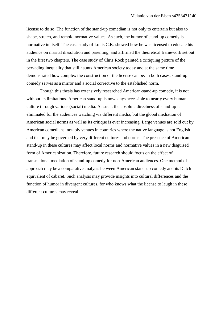license to do so. The function of the stand-up comedian is not only to entertain but also to shape, stretch, and remold normative values. As such, the humor of stand-up comedy is normative in itself. The case study of Louis C.K. showed how he was licensed to educate his audience on marital dissolution and parenting, and affirmed the theoretical framework set out in the first two chapters. The case study of Chris Rock painted a critiquing picture of the pervading inequality that still haunts American society today and at the same time demonstrated how complex the construction of the license can be. In both cases, stand-up comedy serves as a mirror and a social corrective to the established norm.

Though this thesis has extensively researched American-stand-up comedy, it is not without its limitations. American stand-up is nowadays accessible to nearly every human culture through various (social) media. As such, the absolute directness of stand-up is eliminated for the audiences watching via different media, but the global mediation of American social norms as well as its critique is ever increasing. Large venues are sold out by American comedians, notably venues in countries where the native language is not English and that may be governed by very different cultures and norms. The presence of American stand-up in these cultures may affect local norms and normative values in a new disguised form of Americanization. Therefore, future research should focus on the effect of transnational mediation of stand-up comedy for non-American audiences. One method of approach may be a comparative analysis between American stand-up comedy and its Dutch equivalent of cabaret. Such analysis may provide insights into cultural differences and the function of humor in divergent cultures, for who knows what the license to laugh in these different cultures may reveal.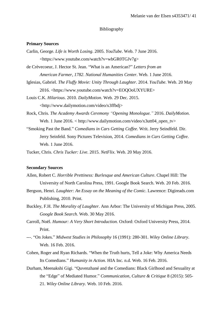#### Bibliography

#### **Primary Sources**

- Carlin, George. *Life is Worth Losing*. 2005. *YouTube*. Web. 7 June 2016. <https://www.youtube.com/watch?v=wbGR0TGJv7g>
- de Crèvecoeur, J. Hector St. Jean. "What is an American?" *Letters from an American Farmer, 1782*. *National Humanities Center*. Web. 1 June 2016.
- Iglesias, Gabriel. *The Fluffy Movie: Unity Through Laughter*. 2014. *YouTube*. Web. 20 May 2016. <https://www.youtube.com/watch?v=EOQOoUXYURE>
- Louis C.K. *Hilarious*. 2010. *DailyMotion*. Web. 29 Dec. 2015. <http://www.dailymotion.com/video/x3ffbdj>
- Rock, Chris. *The Academy Awards Ceremony "Opening Monologue."* 2016. *DailyMotion*. Web. 1 June 2016. < http://www.dailymotion.com/video/x3utt04\_open\_tv>
- "Smoking Past the Band." *Comedians in Cars Getting Coffee*. Writ. Jerry Seindfeld. Dir. Jerry Seinfeld. Sony Pictures Television, 2014. *Comedians in Cars Getting Coffee*. Web. 1 June 2016.
- Tucker, Chris. *Chris Tucker: Live*. 2015. *NetFlix*. Web. 20 May 2016.

#### **Secondary Sources**

- Allen, Robert C. *Horrible Prettiness: Burlesque and American Culture*. Chapel Hill: The University of North Carolina Press, 1991. Google Book Search. Web. 20 Feb. 2016.
- Bergson, Henri. *Laughter: An Essay on the Meaning of the Comic*. Lawrence: Digireads.com Publishing, 2010. Print.
- Buckley, F.H. *The Morality of Laughter*. Ann Arbor: The University of Michigan Press, 2005. *Google Book Search*. Web. 30 May 2016.
- Carroll, Noël. *Humour: A Very Short Introduction*. Oxford: Oxford University Press, 2014. Print.
- ---. "On Jokes." *Midwest Studies in Philosophy* 16 (1991): 280-301. *Wiley Online Library*. Web. 16 Feb. 2016.
- Cohen, Roger and Ryan Richards. "When the Truth hurts, Tell a Joke: Why America Needs Its Comedians." *Humanity in Action.* HIA Inc. n.d. Web. 16 Feb. 2016.
- Durham, Meenakshi Gigi. "Quvenzhané and the Comedians: Black Girlhood and Sexuality at the "Edge" of Mediated Humor." *Communication, Culture & Critique* 8 (2015): 505- 21. *Wiley Online Library*. Web. 10 Feb. 2016.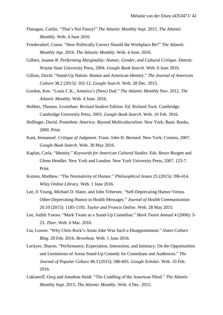- Flanagan, Caitlin. "That's Not Funny!" *The Atlantic Monthly* Sept. 2015. *The Atlantic Monthly*. Web. 4 June 2016.
- Friedersdorf, Conor. "How Politically Correct Should the Workplace Be?" *The Atlantic Monthly* Apr. 2016. *The Atlantic Monthly*. Web. 4 June. 2016.
- Gilbert, Joanne R. *Performing Marginality: Humor, Gender, and Cultural Critique*. Detroit: Wayne State University Press, 2004. *Google Book Search*. Web. 6 June 2016.
- Gillota, David. "Stand-Up Nation: Humor and American Identity." *The Journal of American Culture* 38.2 (2015): 102-12. *Google Search*. Web. 28 Dec. 2015.
- Gordon, Ken. "Louis C.K., America's (New) Dad." *The Atlantic Monthly* Nov. 2012. *The Atlantic Monthly*. Web. 4 June. 2016.
- Hobbes, Thomas. *Leviathan: Revised Student Edition*. Ed. Richard Tuck. Cambridge: Cambridge University Press, 2003. *Google Book Search*. Web. 10 Feb. 2016.
- Hollinger, David. *Postethnic America: Beyond Multiculturalism*. New York: Basic Books, 2000. Print.
- Kant, Immanuel. *Critique of Judgment*. Trans. John H. Bernard. New York: Cosimo, 2007. *Google Book Search*. Web. 30 May 2016.
- Kaplan, Carla. "Identity." *Keywords for American Cultural Studies*. Eds. Bruce Burgett and Glenn Hendler. New York and London: New York University Press, 2007. 123-7. Print.
- Kotzen, Matthew. "The Normativity of Humor." *Philosophical Issues* 25 (2015): 396-414. *Wiley Online Library*. Web. 1 June 2016.
- Lee, Ji Young, Michael D. Slater, and John Tchernec. "Self-Deprecating Humor Versus Other-Deprecating Humor in Health Messages." *Journal of Health Communication* 20.10 (2015): 1185-1195. *Taylor and Francis Online*. Web. 28 May 2015.
- Lee, Judith Yaross. "Mark Twain as a Stand-Up Comedian." *Mark Twain Annual* 4 (2006): 3- 23. *JStor*. Web. 6 Mar. 2016.
- Liu, Lowen. "Why Chris Rock's Asian Joke Was Such a Disappointment." *Slates Culture Blog*. 29 Feb. 2016. *Browbeat*. Web. 1 June 2016.
- Lockyer, Sharon. "Performance, Expectation, Interaction, and Intimacy: On the Opportunities and Limitations of Arena Stand-Up Comedy for Comedians and Audiences." *The Journal of Popular Culture* 48.3 (2015): 586-603. *Google Scholar*. Web. 10 Feb. 2016.
- Lukianoff, Greg and Jonathan Haidt. "The Coddling of the American Mind." *The Atlantic Monthly* Sept. 2015. *The Atlantic Monthly*. Web. 4 Dec. 2015.